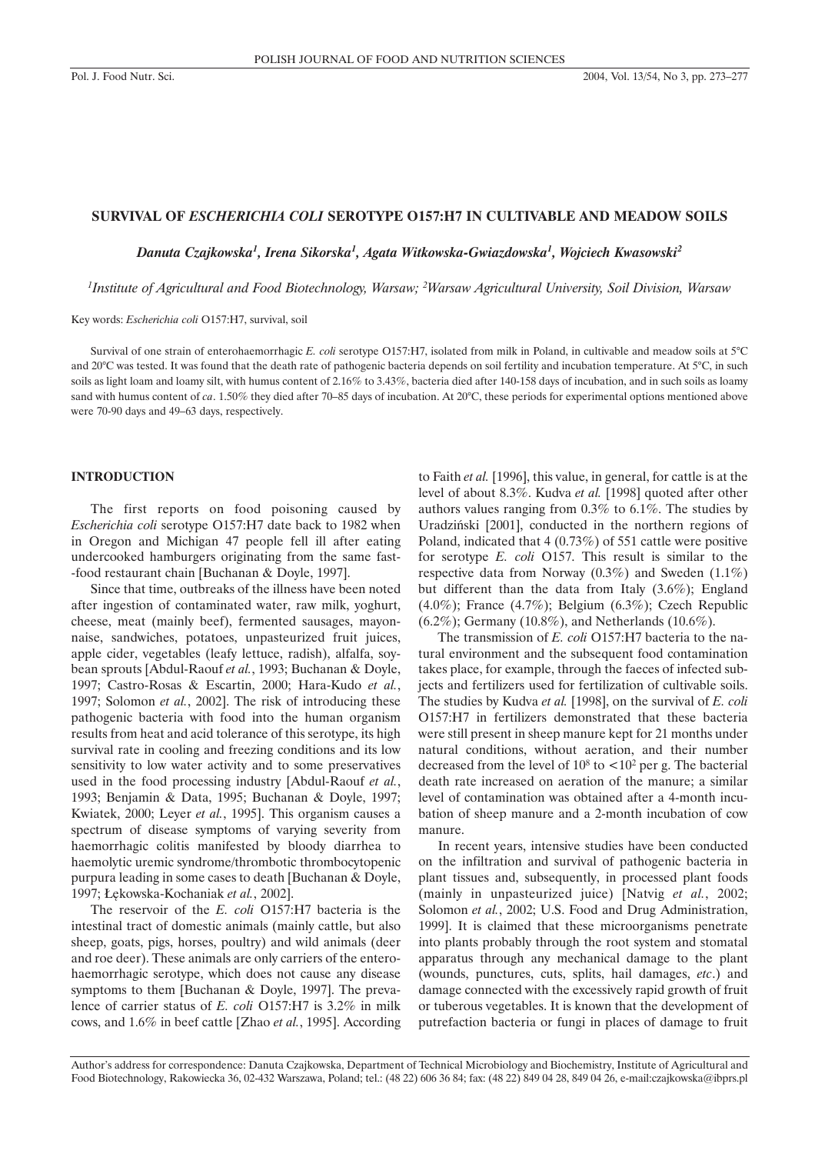#### **SURVIVAL OF** *ESCHERICHIA COLI* **SEROTYPE O157:H7 IN CULTIVABLE AND MEADOW SOILS**

*Danuta Czajkowska1 , Irena Sikorska1 , Agata Witkowska-Gwiazdowska1 , Wojciech Kwasowski2*

*1 Institute of Agricultural and Food Biotechnology, Warsaw; 2 Warsaw Agricultural University, Soil Division, Warsaw*

Key words: *Escherichia coli* O157:H7, survival, soil

Survival of one strain of enterohaemorrhagic *E. coli* serotype O157:H7, isolated from milk in Poland, in cultivable and meadow soils at 5°C and 20°C was tested. It was found that the death rate of pathogenic bacteria depends on soil fertility and incubation temperature. At 5°C, in such soils as light loam and loamy silt, with humus content of 2.16% to 3.43%, bacteria died after 140-158 days of incubation, and in such soils as loamy sand with humus content of *ca*. 1.50% they died after 70–85 days of incubation. At 20°C, these periods for experimental options mentioned above were 70-90 days and 49–63 days, respectively.

#### **INTRODUCTION**

The first reports on food poisoning caused by *Escherichia coli* serotype O157:H7 date back to 1982 when in Oregon and Michigan 47 people fell ill after eating undercooked hamburgers originating from the same fast- -food restaurant chain [Buchanan & Doyle, 1997].

Since that time, outbreaks of the illness have been noted after ingestion of contaminated water, raw milk, yoghurt, cheese, meat (mainly beef), fermented sausages, mayonnaise, sandwiches, potatoes, unpasteurized fruit juices, apple cider, vegetables (leafy lettuce, radish), alfalfa, soybean sprouts [Abdul-Raouf *et al.*, 1993; Buchanan & Doyle, 1997; Castro-Rosas & Escartin, 2000; Hara-Kudo *et al.*, 1997; Solomon *et al.*, 2002]. The risk of introducing these pathogenic bacteria with food into the human organism results from heat and acid tolerance of this serotype, its high survival rate in cooling and freezing conditions and its low sensitivity to low water activity and to some preservatives used in the food processing industry [Abdul-Raouf *et al.*, 1993; Benjamin & Data, 1995; Buchanan & Doyle, 1997; Kwiatek, 2000; Leyer *et al.*, 1995]. This organism causes a spectrum of disease symptoms of varying severity from haemorrhagic colitis manifested by bloody diarrhea to haemolytic uremic syndrome/thrombotic thrombocytopenic purpura leading in some cases to death [Buchanan & Doyle, 1997; £êkowska-Kochaniak *et al.*, 2002].

The reservoir of the *E. coli* O157:H7 bacteria is the intestinal tract of domestic animals (mainly cattle, but also sheep, goats, pigs, horses, poultry) and wild animals (deer and roe deer). These animals are only carriers of the enterohaemorrhagic serotype, which does not cause any disease symptoms to them [Buchanan & Doyle, 1997]. The prevalence of carrier status of *E. coli* O157:H7 is 3.2% in milk cows, and 1.6% in beef cattle [Zhao *et al.*, 1995]. According to Faith *et al.* [1996], this value, in general, for cattle is at the level of about 8.3%. Kudva *et al.* [1998] quoted after other authors values ranging from 0.3% to 6.1%. The studies by Uradziñski [2001], conducted in the northern regions of Poland, indicated that 4 (0.73%) of 551 cattle were positive for serotype *E. coli* O157. This result is similar to the respective data from Norway (0.3%) and Sweden (1.1%) but different than the data from Italy (3.6%); England (4.0%); France (4.7%); Belgium (6.3%); Czech Republic (6.2%); Germany (10.8%), and Netherlands (10.6%).

The transmission of *E. coli* O157:H7 bacteria to the natural environment and the subsequent food contamination takes place, for example, through the faeces of infected subjects and fertilizers used for fertilization of cultivable soils. The studies by Kudva *et al.* [1998], on the survival of *E. coli* O157:H7 in fertilizers demonstrated that these bacteria were still present in sheep manure kept for 21 months under natural conditions, without aeration, and their number decreased from the level of  $10^8$  to  $\lt 10^2$  per g. The bacterial death rate increased on aeration of the manure; a similar level of contamination was obtained after a 4-month incubation of sheep manure and a 2-month incubation of cow manure.

In recent years, intensive studies have been conducted on the infiltration and survival of pathogenic bacteria in plant tissues and, subsequently, in processed plant foods (mainly in unpasteurized juice) [Natvig *et al.*, 2002; Solomon *et al.*, 2002; U.S. Food and Drug Administration, 1999]. It is claimed that these microorganisms penetrate into plants probably through the root system and stomatal apparatus through any mechanical damage to the plant (wounds, punctures, cuts, splits, hail damages, *etc*.) and damage connected with the excessively rapid growth of fruit or tuberous vegetables. It is known that the development of putrefaction bacteria or fungi in places of damage to fruit

Author's address for correspondence: Danuta Czajkowska, Department of Technical Microbiology and Biochemistry, Institute of Agricultural and Food Biotechnology, Rakowiecka 36, 02-432 Warszawa, Poland; tel.: (48 22) 606 36 84; fax: (48 22) 849 04 28, 849 04 26, e-mail:czajkowska@ibprs.pl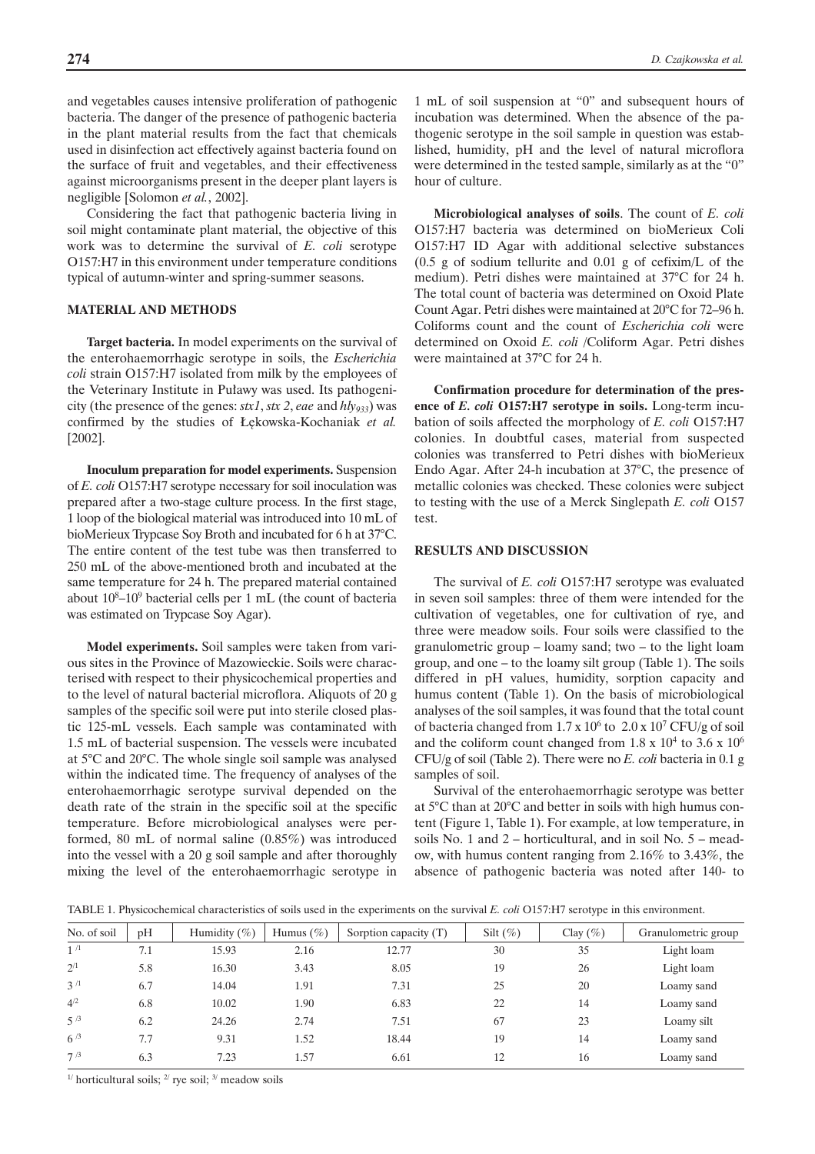and vegetables causes intensive proliferation of pathogenic bacteria. The danger of the presence of pathogenic bacteria in the plant material results from the fact that chemicals used in disinfection act effectively against bacteria found on the surface of fruit and vegetables, and their effectiveness against microorganisms present in the deeper plant layers is negligible [Solomon *et al.*, 2002].

Considering the fact that pathogenic bacteria living in soil might contaminate plant material, the objective of this work was to determine the survival of *E. coli* serotype O157:H7 in this environment under temperature conditions typical of autumn-winter and spring-summer seasons.

#### **MATERIAL AND METHODS**

**Target bacteria.** In model experiments on the survival of the enterohaemorrhagic serotype in soils, the *Escherichia coli* strain O157:H7 isolated from milk by the employees of the Veterinary Institute in Puławy was used. Its pathogenicity (the presence of the genes: *stx1*, *stx 2*, *eae* and *hly933*) was confirmed by the studies of £êkowska-Kochaniak *et al.* [2002].

**Inoculum preparation for model experiments.** Suspension of *E. coli* O157:H7 serotype necessary for soil inoculation was prepared after a two-stage culture process. In the first stage, 1 loop of the biological material was introduced into 10 mL of bioMerieux Trypcase Soy Broth and incubated for 6 h at 37°C. The entire content of the test tube was then transferred to 250 mL of the above-mentioned broth and incubated at the same temperature for 24 h. The prepared material contained about 108 –109 bacterial cells per 1 mL (the count of bacteria was estimated on Trypcase Soy Agar).

**Model experiments.** Soil samples were taken from various sites in the Province of Mazowieckie. Soils were characterised with respect to their physicochemical properties and to the level of natural bacterial microflora. Aliquots of 20 g samples of the specific soil were put into sterile closed plastic 125-mL vessels. Each sample was contaminated with 1.5 mL of bacterial suspension. The vessels were incubated at 5°C and 20°C. The whole single soil sample was analysed within the indicated time. The frequency of analyses of the enterohaemorrhagic serotype survival depended on the death rate of the strain in the specific soil at the specific temperature. Before microbiological analyses were performed, 80 mL of normal saline (0.85%) was introduced into the vessel with a 20 g soil sample and after thoroughly mixing the level of the enterohaemorrhagic serotype in

1 mL of soil suspension at "0" and subsequent hours of incubation was determined. When the absence of the pathogenic serotype in the soil sample in question was established, humidity, pH and the level of natural microflora were determined in the tested sample, similarly as at the "0" hour of culture.

**Microbiological analyses of soils**. The count of *E. coli* O157:H7 bacteria was determined on bioMerieux Coli O157:H7 ID Agar with additional selective substances (0.5 g of sodium tellurite and 0.01 g of cefixim/L of the medium). Petri dishes were maintained at 37°C for 24 h. The total count of bacteria was determined on Oxoid Plate Count Agar. Petri dishes were maintained at 20°C for 72–96 h. Coliforms count and the count of *Escherichia coli* were determined on Oxoid *E. coli* /Coliform Agar. Petri dishes were maintained at 37°C for 24 h.

**Confirmation procedure for determination of the presence of** *E. coli* **O157:H7 serotype in soils.** Long-term incubation of soils affected the morphology of *E. coli* O157:H7 colonies. In doubtful cases, material from suspected colonies was transferred to Petri dishes with bioMerieux Endo Agar. After 24-h incubation at 37°C, the presence of metallic colonies was checked. These colonies were subject to testing with the use of a Merck Singlepath *E. coli* O157 test.

#### **RESULTS AND DISCUSSION**

The survival of *E. coli* O157:H7 serotype was evaluated in seven soil samples: three of them were intended for the cultivation of vegetables, one for cultivation of rye, and three were meadow soils. Four soils were classified to the granulometric group – loamy sand; two – to the light loam group, and one – to the loamy silt group (Table 1). The soils differed in pH values, humidity, sorption capacity and humus content (Table 1). On the basis of microbiological analyses of the soil samples, it was found that the total count of bacteria changed from  $1.7 \times 10^6$  to  $2.0 \times 10^7$  CFU/g of soil and the coliform count changed from 1.8 x  $10^4$  to 3.6 x  $10^6$ CFU/g of soil (Table 2). There were no *E. coli* bacteria in 0.1 g samples of soil.

Survival of the enterohaemorrhagic serotype was better at 5°C than at 20°C and better in soils with high humus content (Figure 1, Table 1). For example, at low temperature, in soils No. 1 and 2 – horticultural, and in soil No. 5 – meadow, with humus content ranging from 2.16% to 3.43%, the absence of pathogenic bacteria was noted after 140- to

TABLE 1. Physicochemical characteristics of soils used in the experiments on the survival *E. coli* O157:H7 serotype in this environment.

| No. of soil    | pH  | Humidity $(\% )$ | Humus $(\% )$ | Sorption capacity $(T)$ | Silt $(\% )$ | Clay $(\% )$ | Granulometric group |
|----------------|-----|------------------|---------------|-------------------------|--------------|--------------|---------------------|
| 1 <sup>1</sup> | 7.1 | 15.93            | 2.16          | 12.77                   | 30           | 35           | Light loam          |
| $2^{/1}$       | 5.8 | 16.30            | 3.43          | 8.05                    | 19           | 26           | Light loam          |
| $3^{1}$        | 6.7 | 14.04            | 1.91          | 7.31                    | 25           | 20           | Loamy sand          |
| $4^{2}$        | 6.8 | 10.02            | 1.90          | 6.83                    | 22           | 14           | Loamy sand          |
| $5^{3}$        | 6.2 | 24.26            | 2.74          | 7.51                    | 67           | 23           | Loamy silt          |
| $6^{3}$        | 7.7 | 9.31             | 1.52          | 18.44                   | 19           | 14           | Loamy sand          |
| 7/3            | 6.3 | 7.23             | 1.57          | 6.61                    | 12           | 16           | Loamy sand          |

<sup>1/</sup> horticultural soils; <sup>2/</sup> rye soil; <sup>3/</sup> meadow soils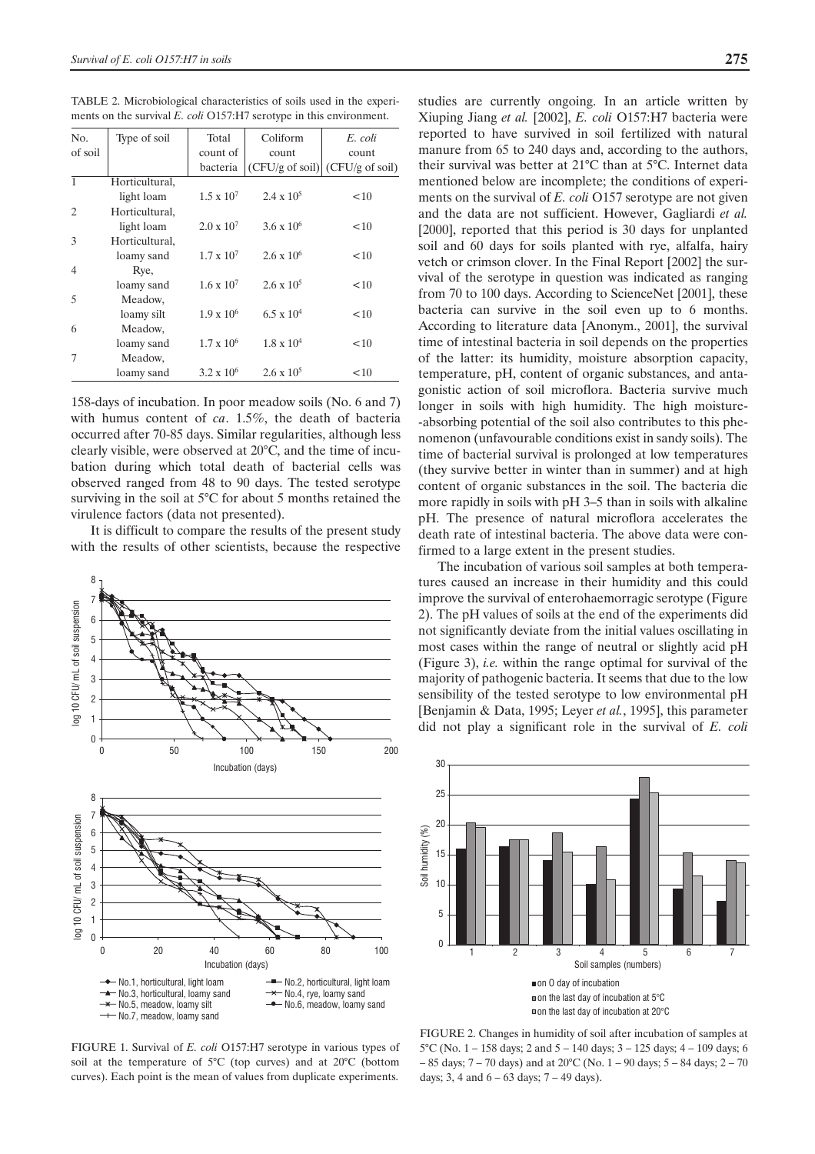TABLE 2. Microbiological characteristics of soils used in the experiments on the survival *E. coli* O157:H7 serotype in this environment.

| N <sub>0</sub>              | Type of soil   | Total               | Coliform                  | E. coli                   |
|-----------------------------|----------------|---------------------|---------------------------|---------------------------|
| of soil                     |                | count of            | count                     | count                     |
|                             |                | bacteria            | $(CFU/g \text{ of soil})$ | $(CFU/g \text{ of soil})$ |
| $\mathbf{1}$                | Horticultural, |                     |                           |                           |
|                             | light loam     | $1.5 \times 10^{7}$ | $2.4 \times 10^5$         | < 10                      |
| $\mathcal{D}_{\mathcal{L}}$ | Horticultural, |                     |                           |                           |
|                             | light loam     | $2.0 \times 10^7$   | $3.6 \times 10^6$         | $10^{-1}$                 |
| $\mathcal{F}$               | Horticultural, |                     |                           |                           |
|                             | loamy sand     | $1.7 \times 10^{7}$ | $2.6 \times 10^6$         | $10^{-1}$                 |
| 4                           | Rye,           |                     |                           |                           |
|                             | loamy sand     | $1.6 \times 10^{7}$ | $2.6 \times 10^5$         | $10^{-1}$                 |
| $\overline{5}$              | Meadow,        |                     |                           |                           |
|                             | loamy silt     | $1.9 \times 10^6$   | $6.5 \times 10^{4}$       | $10^{-1}$                 |
| 6                           | Meadow,        |                     |                           |                           |
|                             | loamy sand     | $1.7 \times 10^6$   | $1.8 \times 10^{4}$       | $10^{-1}$                 |
| 7                           | Meadow,        |                     |                           |                           |
|                             | loamy sand     | $3.2 \times 10^6$   | $2.6 \times 10^5$         | <10                       |

158-days of incubation. In poor meadow soils (No. 6 and 7) with humus content of *ca*. 1.5%, the death of bacteria occurred after 70-85 days. Similar regularities, although less clearly visible, were observed at 20°C, and the time of incubation during which total death of bacterial cells was observed ranged from 48 to 90 days. The tested serotype surviving in the soil at 5°C for about 5 months retained the virulence factors (data not presented).

It is difficult to compare the results of the present study with the results of other scientists, because the respective



FIGURE 1. Survival of *E. coli* O157:H7 serotype in various types of soil at the temperature of 5°C (top curves) and at 20°C (bottom curves). Each point is the mean of values from duplicate experiments.

studies are currently ongoing. In an article written by Xiuping Jiang *et al.* [2002], *E. coli* O157:H7 bacteria were reported to have survived in soil fertilized with natural manure from 65 to 240 days and, according to the authors, their survival was better at 21°C than at 5°C. Internet data mentioned below are incomplete; the conditions of experiments on the survival of *E. coli* O157 serotype are not given and the data are not sufficient. However, Gagliardi *et al.* [2000], reported that this period is 30 days for unplanted soil and 60 days for soils planted with rye, alfalfa, hairy vetch or crimson clover. In the Final Report [2002] the survival of the serotype in question was indicated as ranging from 70 to 100 days. According to ScienceNet [2001], these bacteria can survive in the soil even up to 6 months. According to literature data [Anonym., 2001], the survival time of intestinal bacteria in soil depends on the properties of the latter: its humidity, moisture absorption capacity, temperature, pH, content of organic substances, and antagonistic action of soil microflora. Bacteria survive much longer in soils with high humidity. The high moisture- -absorbing potential of the soil also contributes to this phenomenon (unfavourable conditions exist in sandy soils). The time of bacterial survival is prolonged at low temperatures (they survive better in winter than in summer) and at high content of organic substances in the soil. The bacteria die more rapidly in soils with pH 3–5 than in soils with alkaline pH. The presence of natural microflora accelerates the death rate of intestinal bacteria. The above data were confirmed to a large extent in the present studies.

The incubation of various soil samples at both temperatures caused an increase in their humidity and this could improve the survival of enterohaemorragic serotype (Figure 2). The pH values of soils at the end of the experiments did not significantly deviate from the initial values oscillating in most cases within the range of neutral or slightly acid pH (Figure 3), *i.e.* within the range optimal for survival of the majority of pathogenic bacteria. It seems that due to the low sensibility of the tested serotype to low environmental pH [Benjamin & Data, 1995; Leyer *et al.*, 1995], this parameter did not play a significant role in the survival of *E. coli*



FIGURE 2. Changes in humidity of soil after incubation of samples at 5°C (No. 1 – 158 days; 2 and 5 – 140 days; 3 – 125 days; 4 – 109 days; 6 – 85 days; 7 – 70 days) and at 20°C (No. 1 – 90 days; 5 – 84 days; 2 – 70 days; 3, 4 and  $6 - 63$  days;  $7 - 49$  days).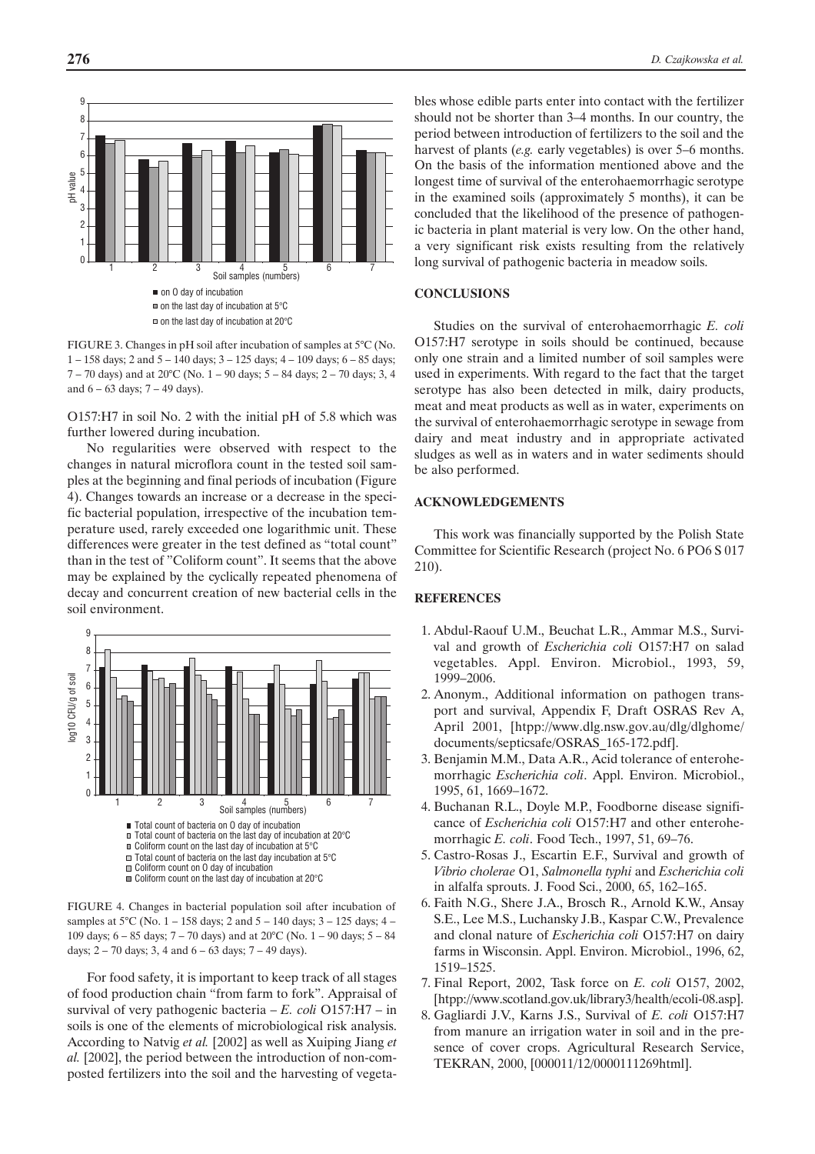

FIGURE 3. Changes in pH soil after incubation of samples at 5°C (No. 1 – 158 days; 2 and 5 – 140 days; 3 – 125 days; 4 – 109 days; 6 – 85 days;  $7 - 70$  days) and at  $20^{\circ}$ C (No.  $1 - 90$  days;  $5 - 84$  days;  $2 - 70$  days; 3, 4 and  $6 - 63$  days;  $7 - 49$  days).

O157:H7 in soil No. 2 with the initial pH of 5.8 which was further lowered during incubation.

No regularities were observed with respect to the changes in natural microflora count in the tested soil samples at the beginning and final periods of incubation (Figure 4). Changes towards an increase or a decrease in the specific bacterial population, irrespective of the incubation temperature used, rarely exceeded one logarithmic unit. These differences were greater in the test defined as "total count" than in the test of "Coliform count". It seems that the above may be explained by the cyclically repeated phenomena of decay and concurrent creation of new bacterial cells in the soil environment.



FIGURE 4. Changes in bacterial population soil after incubation of samples at 5°C (No. 1 – 158 days; 2 and 5 – 140 days; 3 – 125 days; 4 – 109 days; 6 – 85 days; 7 – 70 days) and at 20°C (No. 1 – 90 days; 5 – 84 days; 2 – 70 days; 3, 4 and 6 – 63 days; 7 – 49 days).

For food safety, it is important to keep track of all stages of food production chain "from farm to fork". Appraisal of survival of very pathogenic bacteria – *E. coli* O157:H7 – in soils is one of the elements of microbiological risk analysis. According to Natvig *et al.* [2002] as well as Xuiping Jiang *et al.* [2002], the period between the introduction of non-composted fertilizers into the soil and the harvesting of vegetables whose edible parts enter into contact with the fertilizer should not be shorter than 3–4 months. In our country, the period between introduction of fertilizers to the soil and the harvest of plants (*e.g.* early vegetables) is over 5–6 months. On the basis of the information mentioned above and the longest time of survival of the enterohaemorrhagic serotype in the examined soils (approximately 5 months), it can be concluded that the likelihood of the presence of pathogenic bacteria in plant material is very low. On the other hand, a very significant risk exists resulting from the relatively long survival of pathogenic bacteria in meadow soils.

### **CONCLUSIONS**

Studies on the survival of enterohaemorrhagic *E. coli* O157:H7 serotype in soils should be continued, because only one strain and a limited number of soil samples were used in experiments. With regard to the fact that the target serotype has also been detected in milk, dairy products, meat and meat products as well as in water, experiments on the survival of enterohaemorrhagic serotype in sewage from dairy and meat industry and in appropriate activated sludges as well as in waters and in water sediments should be also performed.

#### **ACKNOWLEDGEMENTS**

This work was financially supported by the Polish State Committee for Scientific Research (project No. 6 PO6 S 017 210).

### **REFERENCES**

- 1. Abdul-Raouf U.M., Beuchat L.R., Ammar M.S., Survival and growth of *Escherichia coli* O157:H7 on salad vegetables. Appl. Environ. Microbiol., 1993, 59, 1999–2006.
- 2. Anonym., Additional information on pathogen transport and survival, Appendix F, Draft OSRAS Rev A, April 2001, [htpp://www.dlg.nsw.gov.au/dlg/dlghome/ documents/septicsafe/OSRAS\_165-172.pdf].
- 3. Benjamin M.M., Data A.R., Acid tolerance of enterohemorrhagic *Escherichia coli*. Appl. Environ. Microbiol., 1995, 61, 1669–1672.
- 4. Buchanan R.L., Doyle M.P., Foodborne disease significance of *Escherichia coli* O157:H7 and other enterohemorrhagic *E. coli*. Food Tech., 1997, 51, 69–76.
- 5. Castro-Rosas J., Escartin E.F., Survival and growth of *Vibrio cholerae* O1, *Salmonella typhi* and *Escherichia coli* in alfalfa sprouts. J. Food Sci., 2000, 65, 162–165.
- 6. Faith N.G., Shere J.A., Brosch R., Arnold K.W., Ansay S.E., Lee M.S., Luchansky J.B., Kaspar C.W., Prevalence and clonal nature of *Escherichia coli* O157:H7 on dairy farms in Wisconsin. Appl. Environ. Microbiol., 1996, 62, 1519–1525.
- 7. Final Report, 2002, Task force on *E. coli* O157, 2002, [htpp://www.scotland.gov.uk/library3/health/ecoli-08.asp].
- 8. Gagliardi J.V., Karns J.S., Survival of *E. coli* O157:H7 from manure an irrigation water in soil and in the presence of cover crops. Agricultural Research Service, TEKRAN, 2000, [000011/12/0000111269html].